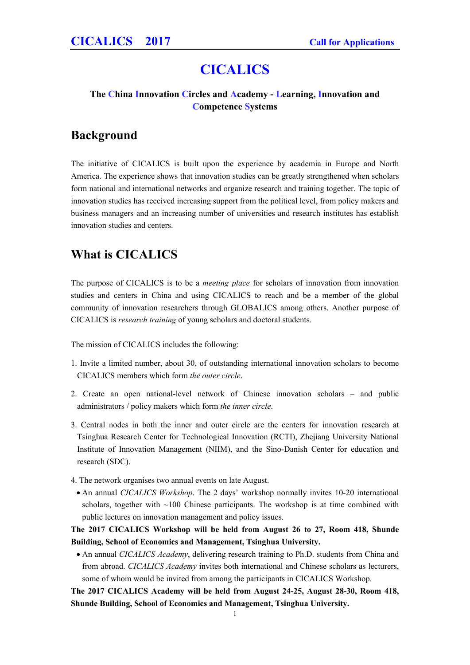# **CICALICS**

### **The China Innovation Circles and Academy - Learning, Innovation and Competence Systems**

## **Background**

The initiative of CICALICS is built upon the experience by academia in Europe and North America. The experience shows that innovation studies can be greatly strengthened when scholars form national and international networks and organize research and training together. The topic of innovation studies has received increasing support from the political level, from policy makers and business managers and an increasing number of universities and research institutes has establish innovation studies and centers.

# **What is CICALICS**

The purpose of CICALICS is to be a *meeting place* for scholars of innovation from innovation studies and centers in China and using CICALICS to reach and be a member of the global community of innovation researchers through GLOBALICS among others. Another purpose of CICALICS is *research training* of young scholars and doctoral students.

The mission of CICALICS includes the following:

- 1. Invite a limited number, about 30, of outstanding international innovation scholars to become CICALICS members which form *the outer circle*.
- 2. Create an open national-level network of Chinese innovation scholars and public administrators / policy makers which form *the inner circle*.
- 3. Central nodes in both the inner and outer circle are the centers for innovation research at Tsinghua Research Center for Technological Innovation (RCTI), Zhejiang University National Institute of Innovation Management (NIIM), and the Sino-Danish Center for education and research (SDC).
- 4. The network organises two annual events on late August.
- An annual *CICALICS Workshop*. The 2 days' workshop normally invites 10-20 international scholars, together with  $~100$  Chinese participants. The workshop is at time combined with public lectures on innovation management and policy issues.

**The 2017 CICALICS Workshop will be held from August 26 to 27, Room 418, Shunde Building, School of Economics and Management, Tsinghua University.**

 An annual *CICALICS Academy*, delivering research training to Ph.D. students from China and from abroad. *CICALICS Academy* invites both international and Chinese scholars as lecturers, some of whom would be invited from among the participants in CICALICS Workshop.

**The 2017 CICALICS Academy will be held from August 24-25, August 28-30, Room 418, Shunde Building, School of Economics and Management, Tsinghua University.**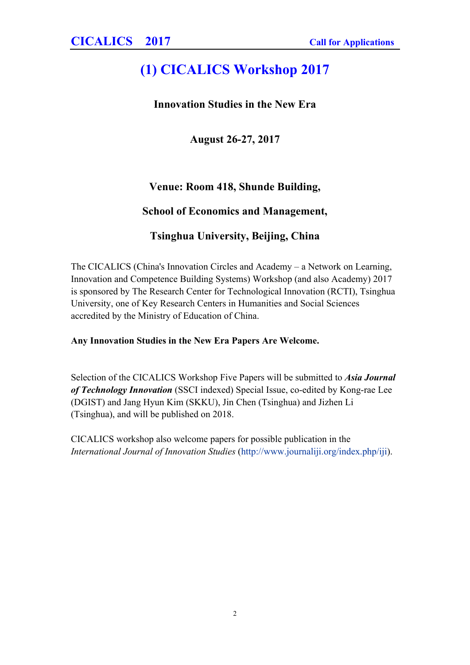# **(1) CICALICS Workshop 2017**

## **Innovation Studies in the New Era**

**August 26-27, 2017**

## **Venue: Room 418, Shunde Building,**

## **School of Economics and Management,**

## **Tsinghua University, Beijing, China**

The CICALICS (China's Innovation Circles and Academy – a Network on Learning, Innovation and Competence Building Systems) Workshop (and also Academy) 2017 is sponsored by The Research Center for Technological Innovation (RCTI), Tsinghua University, one of Key Research Centers in Humanities and Social Sciences accredited by the Ministry of Education of China.

## **Any Innovation Studies in the New Era Papers Are Welcome.**

Selection of the CICALICS Workshop Five Papers will be submitted to *Asia Journal of Technology Innovation* (SSCI indexed) Special Issue, co-edited by Kong-rae Lee (DGIST) and Jang Hyun Kim (SKKU), Jin Chen (Tsinghua) and Jizhen Li (Tsinghua), and will be published on 2018.

CICALICS workshop also welcome papers for possible publication in the *International Journal of Innovation Studies* [\(http://www.journaliji.org/index.php/iji](http://www.journaliji.org/index.php/iji)).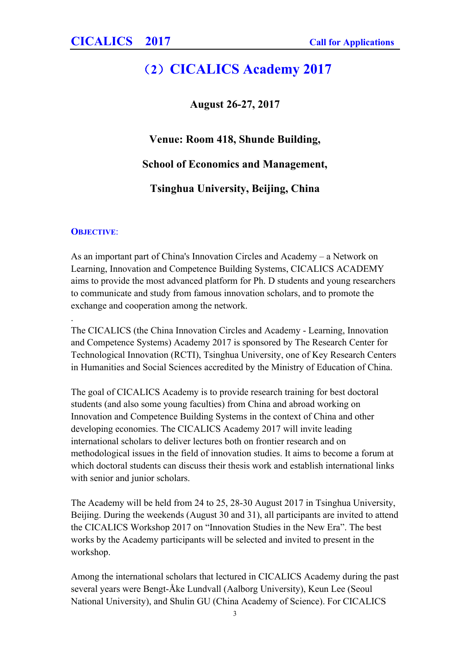# **(2)CICALICS Academy 2017**

**August 26-27, 2017**

**Venue: Room 418, Shunde Building,**

**School of Economics and Management,**

**Tsinghua University, Beijing, China**

#### **OBJECTIVE**:

.

As an important part of China's Innovation Circles and Academy – a Network on Learning, Innovation and Competence Building Systems, CICALICS ACADEMY aims to provide the most advanced platform for Ph. D students and young researchers to communicate and study from famous innovation scholars, and to promote the exchange and cooperation among the network.

The CICALICS (the China Innovation Circles and Academy - Learning, Innovation and Competence Systems) Academy 2017 is sponsored by The Research Center for Technological Innovation (RCTI), Tsinghua University, one of Key Research Centers in Humanities and Social Sciences accredited by the Ministry of Education of China.

The goal of CICALICS Academy is to provide research training for best doctoral students (and also some young faculties) from China and abroad working on Innovation and Competence Building Systems in the context of China and other developing economies. The CICALICS Academy 2017 will invite leading international scholars to deliver lectures both on frontier research and on methodological issues in the field of innovation studies. It aims to become a forum at which doctoral students can discuss their thesis work and establish international links with senior and junior scholars.

The Academy will be held from 24 to 25, 28-30 August 2017 in Tsinghua University, Beijing. During the weekends (August 30 and 31), all participants are invited to attend the CICALICS Workshop 2017 on "Innovation Studies in the New Era". The best works by the Academy participants will be selected and invited to present in the workshop.

Among the international scholars that lectured in CICALICS Academy during the past several years were Bengt-Åke Lundvall (Aalborg University), Keun Lee (Seoul National University), and Shulin GU (China Academy of Science). For CICALICS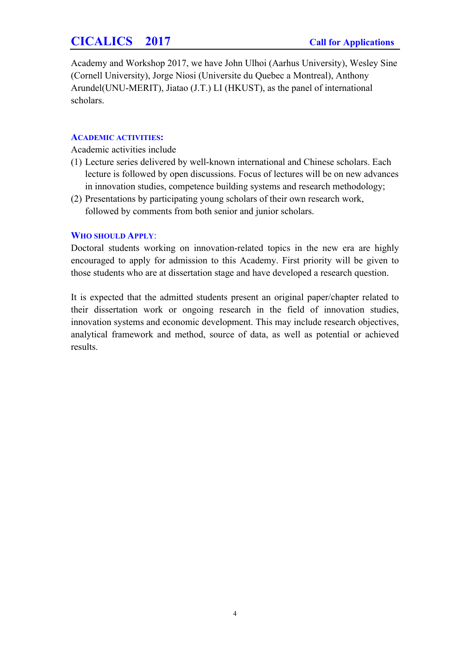## **CICALICS 2017 Call for Applications**

Academy and Workshop 2017, we have John Ulhoi (Aarhus University), Wesley Sine (Cornell University), Jorge Niosi (Universite du Quebec a Montreal), Anthony Arundel(UNU-MERIT), Jiatao (J.T.) LI (HKUST), as the panel of international scholars.

#### **ACADEMIC ACTIVITIES:**

Academic activities include

- (1) Lecture series delivered by well-known international and Chinese scholars. Each lecture is followed by open discussions. Focus of lectures will be on new advances in innovation studies, competence building systems and research methodology;
- (2) Presentations by participating young scholars of their own research work, followed by comments from both senior and junior scholars.

### **WHO SHOULD APPLY**:

Doctoral students working on innovation-related topics in the new era are highly encouraged to apply for admission to this Academy. First priority will be given to those students who are at dissertation stage and have developed a research question.

It is expected that the admitted students present an original paper/chapter related to their dissertation work or ongoing research in the field of innovation studies, innovation systems and economic development. This may include research objectives, analytical framework and method, source of data, as well as potential or achieved results.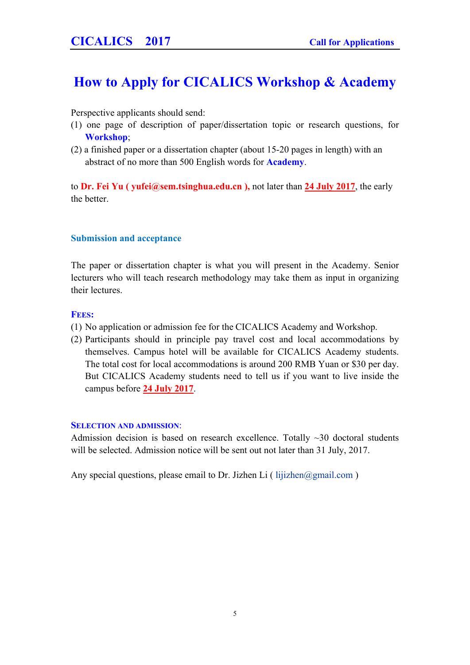# **How to Apply for CICALICS Workshop & Academy**

Perspective applicants should send:

- (1) one page of description of paper/dissertation topic or research questions, for **Workshop**;
- (2) a finished paper or a dissertation chapter (about 15-20 pages in length) with an abstract of no more than 500 English words for **Academy**.

to **Dr. Fei Yu ( [yufei@sem.tsinghua.edu.cn](mailto:yufei@sem.tsinghua.edu.cn) ),** not later than **24 July 2017**, the early the better.

### **Submission and acceptance**

The paper or dissertation chapter is what you will present in the Academy. Senior lecturers who will teach research methodology may take them as input in organizing their lectures.

#### **FEES:**

- (1) No application or admission fee for the CICALICS Academy and Workshop.
- (2) Participants should in principle pay travel cost and local accommodations by themselves. Campus hotel will be available for CICALICS Academy students. The total cost for local accommodations is around 200 RMB Yuan or \$30 per day. But CICALICS Academy students need to tell us if you want to live inside the campus before **24 July 2017**.

#### **SELECTION AND ADMISSION**:

Admission decision is based on research excellence. Totally  $\sim$ 30 doctoral students will be selected. Admission notice will be sent out not later than 31 July, 2017.

Any special questions, please email to Dr. Jizhen Li ( [lijizhen@gmail.com](mailto:lijizhen@gmail.com) )